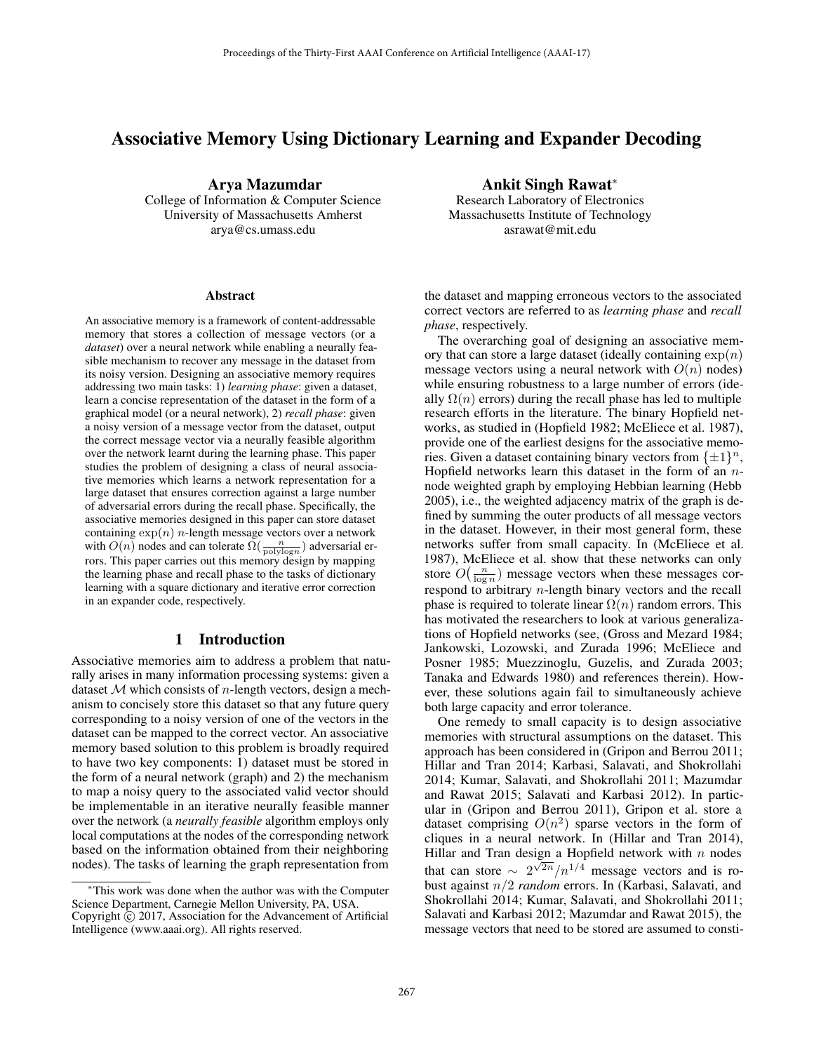# Associative Memory Using Dictionary Learning and Expander Decoding

Arya Mazumdar College of Information & Computer Science University of Massachusetts Amherst

arya@cs.umass.edu

#### **Abstract**

An associative memory is a framework of content-addressable memory that stores a collection of message vectors (or a *dataset*) over a neural network while enabling a neurally feasible mechanism to recover any message in the dataset from its noisy version. Designing an associative memory requires addressing two main tasks: 1) *learning phase*: given a dataset, learn a concise representation of the dataset in the form of a graphical model (or a neural network), 2) *recall phase*: given a noisy version of a message vector from the dataset, output the correct message vector via a neurally feasible algorithm over the network learnt during the learning phase. This paper studies the problem of designing a class of neural associative memories which learns a network representation for a large dataset that ensures correction against a large number of adversarial errors during the recall phase. Specifically, the associative memories designed in this paper can store dataset containing  $\exp(n)$  *n*-length message vectors over a network with  $O(n)$  nodes and can tolerate  $\Omega(\frac{n}{\text{polylog}n})$  adversarial er-<br>rors. This paper carries out this memory design by mapping rors. This paper carries out this memory design by mapping the learning phase and recall phase to the tasks of dictionary learning with a square dictionary and iterative error correction in an expander code, respectively.

#### 1 Introduction

Associative memories aim to address a problem that naturally arises in many information processing systems: given a dataset  $M$  which consists of *n*-length vectors, design a mechanism to concisely store this dataset so that any future query corresponding to a noisy version of one of the vectors in the dataset can be mapped to the correct vector. An associative memory based solution to this problem is broadly required to have two key components: 1) dataset must be stored in the form of a neural network (graph) and 2) the mechanism to map a noisy query to the associated valid vector should be implementable in an iterative neurally feasible manner over the network (a *neurally feasible* algorithm employs only local computations at the nodes of the corresponding network based on the information obtained from their neighboring nodes). The tasks of learning the graph representation from

<sup>∗</sup>This work was done when the author was with the Computer Science Department, Carnegie Mellon University, PA, USA. Copyright  $\odot$  2017, Association for the Advancement of Artificial Intelligence (www.aaai.org). All rights reserved.

# Ankit Singh Rawat<sup>∗</sup>

Research Laboratory of Electronics Massachusetts Institute of Technology asrawat@mit.edu

the dataset and mapping erroneous vectors to the associated correct vectors are referred to as *learning phase* and *recall phase*, respectively.

The overarching goal of designing an associative memory that can store a large dataset (ideally containing  $\exp(n)$ ) message vectors using a neural network with  $O(n)$  nodes) while ensuring robustness to a large number of errors (ideally  $\Omega(n)$  errors) during the recall phase has led to multiple research efforts in the literature. The binary Hopfield networks, as studied in (Hopfield 1982; McEliece et al. 1987), provide one of the earliest designs for the associative memories. Given a dataset containing binary vectors from  $\{\pm 1\}^n$ , Hopfield networks learn this dataset in the form of an  $n$ node weighted graph by employing Hebbian learning (Hebb 2005), i.e., the weighted adjacency matrix of the graph is defined by summing the outer products of all message vectors in the dataset. However, in their most general form, these networks suffer from small capacity. In (McEliece et al. 1987), McEliece et al. show that these networks can only store  $O\left(\frac{n}{\log n}\right)$  message vectors when these messages cor-<br>respond to arbitrary n length binary vectors and the recall respond to arbitrary n-length binary vectors and the recall phase is required to tolerate linear  $\Omega(n)$  random errors. This has motivated the researchers to look at various generalizations of Hopfield networks (see, (Gross and Mezard 1984; Jankowski, Lozowski, and Zurada 1996; McEliece and Posner 1985; Muezzinoglu, Guzelis, and Zurada 2003; Tanaka and Edwards 1980) and references therein). However, these solutions again fail to simultaneously achieve both large capacity and error tolerance.

One remedy to small capacity is to design associative memories with structural assumptions on the dataset. This approach has been considered in (Gripon and Berrou 2011; Hillar and Tran 2014; Karbasi, Salavati, and Shokrollahi 2014; Kumar, Salavati, and Shokrollahi 2011; Mazumdar and Rawat 2015; Salavati and Karbasi 2012). In particular in (Gripon and Berrou 2011), Gripon et al. store a dataset comprising  $O(n^2)$  sparse vectors in the form of cliques in a neural network. In (Hillar and Tran 2014), Hillar and Tran design a Hopfield network with  $n$  nodes that can store  $\sim 2^{\sqrt{2n}}/n^{1/4}$  message vectors and is robust against n/2 *random* errors. In (Karbasi, Salavati, and Shokrollahi 2014; Kumar, Salavati, and Shokrollahi 2011; Salavati and Karbasi 2012; Mazumdar and Rawat 2015), the message vectors that need to be stored are assumed to consti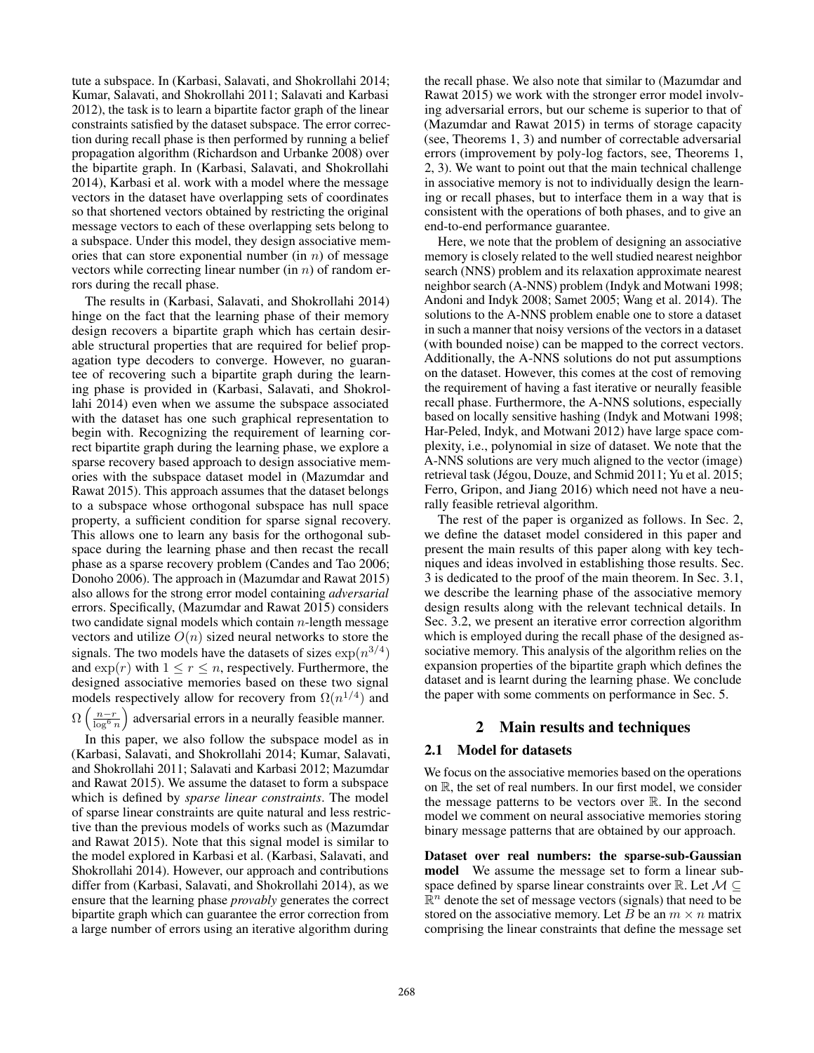tute a subspace. In (Karbasi, Salavati, and Shokrollahi 2014; Kumar, Salavati, and Shokrollahi 2011; Salavati and Karbasi 2012), the task is to learn a bipartite factor graph of the linear constraints satisfied by the dataset subspace. The error correction during recall phase is then performed by running a belief propagation algorithm (Richardson and Urbanke 2008) over the bipartite graph. In (Karbasi, Salavati, and Shokrollahi 2014), Karbasi et al. work with a model where the message vectors in the dataset have overlapping sets of coordinates so that shortened vectors obtained by restricting the original message vectors to each of these overlapping sets belong to a subspace. Under this model, they design associative memories that can store exponential number (in  $n$ ) of message vectors while correcting linear number (in  $n$ ) of random errors during the recall phase.

The results in (Karbasi, Salavati, and Shokrollahi 2014) hinge on the fact that the learning phase of their memory design recovers a bipartite graph which has certain desirable structural properties that are required for belief propagation type decoders to converge. However, no guarantee of recovering such a bipartite graph during the learning phase is provided in (Karbasi, Salavati, and Shokrollahi 2014) even when we assume the subspace associated with the dataset has one such graphical representation to begin with. Recognizing the requirement of learning correct bipartite graph during the learning phase, we explore a sparse recovery based approach to design associative memories with the subspace dataset model in (Mazumdar and Rawat 2015). This approach assumes that the dataset belongs to a subspace whose orthogonal subspace has null space property, a sufficient condition for sparse signal recovery. This allows one to learn any basis for the orthogonal subspace during the learning phase and then recast the recall phase as a sparse recovery problem (Candes and Tao 2006; Donoho 2006). The approach in (Mazumdar and Rawat 2015) also allows for the strong error model containing *adversarial* errors. Specifically, (Mazumdar and Rawat 2015) considers two candidate signal models which contain  $n$ -length message vectors and utilize  $O(n)$  sized neural networks to store the signals. The two models have the datasets of sizes  $\exp(n^{3/4})$ and  $\exp(r)$  with  $1 \leq r \leq n$ , respectively. Furthermore, the designed associative memories based on these two signal models respectively allow for recovery from  $\Omega(n^{1/4})$  and  $\Omega\left(\frac{n-r}{\log^6 n}\right)$ adversarial errors in a neurally feasible manner.

 $\overline{\log^6 n}$ In this paper, we also follow the subspace model as in (Karbasi, Salavati, and Shokrollahi 2014; Kumar, Salavati, and Shokrollahi 2011; Salavati and Karbasi 2012; Mazumdar and Rawat 2015). We assume the dataset to form a subspace which is defined by *sparse linear constraints*. The model of sparse linear constraints are quite natural and less restrictive than the previous models of works such as (Mazumdar and Rawat 2015). Note that this signal model is similar to the model explored in Karbasi et al. (Karbasi, Salavati, and Shokrollahi 2014). However, our approach and contributions differ from (Karbasi, Salavati, and Shokrollahi 2014), as we ensure that the learning phase *provably* generates the correct bipartite graph which can guarantee the error correction from a large number of errors using an iterative algorithm during

the recall phase. We also note that similar to (Mazumdar and Rawat 2015) we work with the stronger error model involving adversarial errors, but our scheme is superior to that of (Mazumdar and Rawat 2015) in terms of storage capacity (see, Theorems 1, 3) and number of correctable adversarial errors (improvement by poly-log factors, see, Theorems 1, 2, 3). We want to point out that the main technical challenge in associative memory is not to individually design the learning or recall phases, but to interface them in a way that is consistent with the operations of both phases, and to give an end-to-end performance guarantee.

Here, we note that the problem of designing an associative memory is closely related to the well studied nearest neighbor search (NNS) problem and its relaxation approximate nearest neighbor search (A-NNS) problem (Indyk and Motwani 1998; Andoni and Indyk 2008; Samet 2005; Wang et al. 2014). The solutions to the A-NNS problem enable one to store a dataset in such a manner that noisy versions of the vectors in a dataset (with bounded noise) can be mapped to the correct vectors. Additionally, the A-NNS solutions do not put assumptions on the dataset. However, this comes at the cost of removing the requirement of having a fast iterative or neurally feasible recall phase. Furthermore, the A-NNS solutions, especially based on locally sensitive hashing (Indyk and Motwani 1998; Har-Peled, Indyk, and Motwani 2012) have large space complexity, i.e., polynomial in size of dataset. We note that the A-NNS solutions are very much aligned to the vector (image) retrieval task (Jégou, Douze, and Schmid 2011; Yu et al. 2015; Ferro, Gripon, and Jiang 2016) which need not have a neurally feasible retrieval algorithm.

The rest of the paper is organized as follows. In Sec. 2, we define the dataset model considered in this paper and present the main results of this paper along with key techniques and ideas involved in establishing those results. Sec. 3 is dedicated to the proof of the main theorem. In Sec. 3.1, we describe the learning phase of the associative memory design results along with the relevant technical details. In Sec. 3.2, we present an iterative error correction algorithm which is employed during the recall phase of the designed associative memory. This analysis of the algorithm relies on the expansion properties of the bipartite graph which defines the dataset and is learnt during the learning phase. We conclude the paper with some comments on performance in Sec. 5.

## 2 Main results and techniques

## 2.1 Model for datasets

We focus on the associative memories based on the operations on R, the set of real numbers. In our first model, we consider the message patterns to be vectors over  $\mathbb{R}$ . In the second model we comment on neural associative memories storing binary message patterns that are obtained by our approach.

Dataset over real numbers: the sparse-sub-Gaussian model We assume the message set to form a linear subspace defined by sparse linear constraints over R. Let  $M \subseteq$  $\mathbb{R}^n$  denote the set of message vectors (signals) that need to be stored on the associative memory. Let B be an  $m \times n$  matrix comprising the linear constraints that define the message set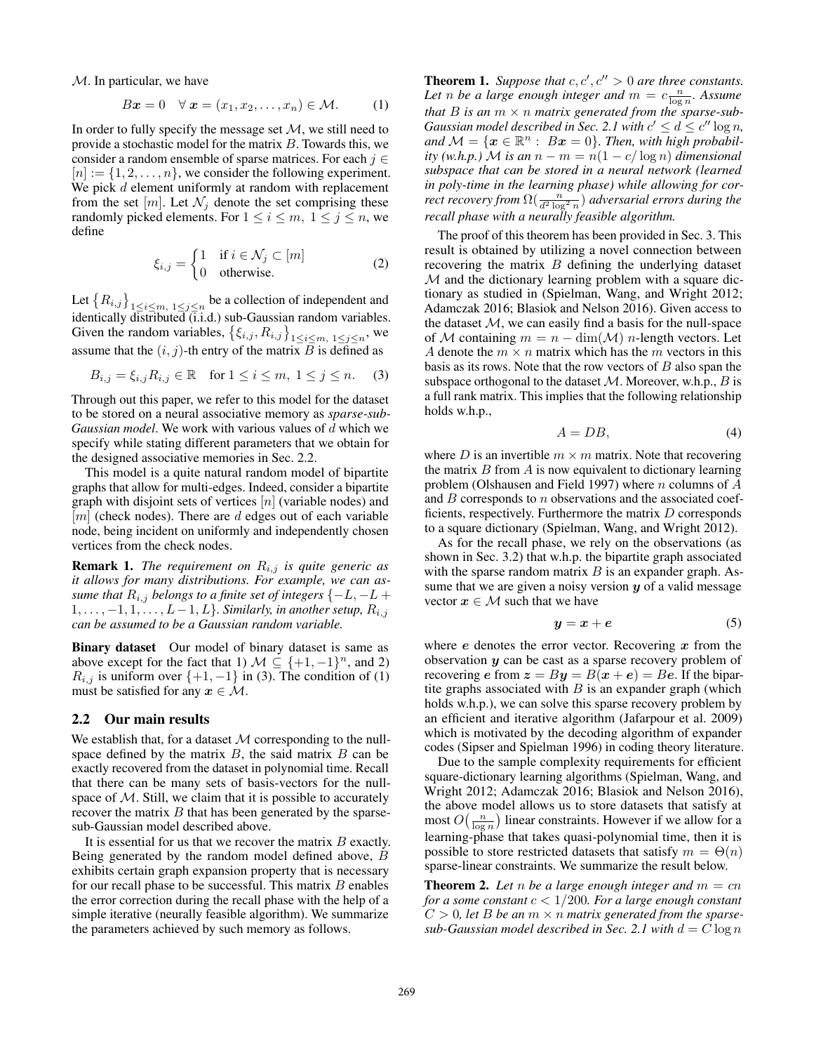$M$ . In particular, we have

$$
Bx = 0 \quad \forall \mathbf{x} = (x_1, x_2, \dots, x_n) \in \mathcal{M}.
$$
 (1)

In order to fully specify the message set  $M$ , we still need to provide a stochastic model for the matrix  $B$ . Towards this, we consider a random ensemble of sparse matrices. For each  $j \in$  $[n] := \{1, 2, \ldots, n\}$ , we consider the following experiment. We pick  $d$  element uniformly at random with replacement from the set  $[m]$ . Let  $\mathcal{N}_i$  denote the set comprising these randomly picked elements. For  $1 \le i \le m$ ,  $1 \le j \le n$ , we define

$$
\xi_{i,j} = \begin{cases} 1 & \text{if } i \in \mathcal{N}_j \subset [m] \\ 0 & \text{otherwise.} \end{cases}
$$
 (2)

Let  ${R_{i,j}}_{1 \leq i \leq m, 1 \leq j \leq n}$  be a collection of independent and identically distributed (i.i.d.) sub-Gaussian random variables. Given the random variables,  $\{\xi_{i,j}, R_{i,j}\}_{1 \leq i \leq m, 1 \leq j \leq n}$ , we assume that the  $(i, j)$  th entry of the matrix  $B$  is defined as assume that the  $(i, j)$ -th entry of the matrix  $\overline{B}$  is defined as

$$
B_{i,j} = \xi_{i,j} R_{i,j} \in \mathbb{R} \text{ for } 1 \le i \le m, \ 1 \le j \le n. \tag{3}
$$

Through out this paper, we refer to this model for the dataset to be stored on a neural associative memory as *sparse-sub-Gaussian model*. We work with various values of d which we specify while stating different parameters that we obtain for the designed associative memories in Sec. 2.2.

This model is a quite natural random model of bipartite graphs that allow for multi-edges. Indeed, consider a bipartite graph with disjoint sets of vertices  $[n]$  (variable nodes) and  $[m]$  (check nodes). There are d edges out of each variable node, being incident on uniformly and independently chosen vertices from the check nodes.

**Remark 1.** *The requirement on*  $R_{i,j}$  *is quite generic as it allows for many distributions. For example, we can assume that*  $R_{i,j}$  *belongs to a finite set of integers*  $\{-L, -L +$  $1,\ldots,-1,1,\ldots,L-1,L$ *}. Similarly, in another setup,*  $R_{i,j}$ *can be assumed to be a Gaussian random variable.*

Binary dataset Our model of binary dataset is same as above except for the fact that 1)  $M \subseteq \{+1, -1\}^n$ , and 2)  $R_{i,j}$  is uniform over  $\{+1, -1\}$  in (3). The condition of (1) must be satisfied for any  $x \in \mathcal{M}$ .

#### 2.2 Our main results

We establish that, for a dataset  $M$  corresponding to the nullspace defined by the matrix  $B$ , the said matrix  $B$  can be exactly recovered from the dataset in polynomial time. Recall that there can be many sets of basis-vectors for the nullspace of  $M$ . Still, we claim that it is possible to accurately recover the matrix  $B$  that has been generated by the sparsesub-Gaussian model described above.

It is essential for us that we recover the matrix  $B$  exactly. Being generated by the random model defined above, B exhibits certain graph expansion property that is necessary for our recall phase to be successful. This matrix  $B$  enables the error correction during the recall phase with the help of a simple iterative (neurally feasible algorithm). We summarize the parameters achieved by such memory as follows.

**Theorem 1.** Suppose that  $c, c', c'' > 0$  are three constants. Let *n* be a large enough integer and  $m = c \frac{n}{\log n}$ . Assume *that* B *is an* m × n *matrix generated from the sparse-sub-Gaussian model described in Sec. 2.1 with*  $c' \leq d \leq c'' \log n$ , *and*  $M = \{x \in \mathbb{R}^n : Bx = 0\}$ . *Then, with high probability* (w.h.p.) M is an  $n - m = n(1 - c/\log n)$  dimensional *subspace that can be stored in a neural network (learned in poly-time in the learning phase) while allowing for correct recovery from*  $\Omega(\frac{n}{d^2 \log^2 n})$  *adversarial errors during the recall phase with a neurally feasible algorithm.* 

The proof of this theorem has been provided in Sec. 3. This result is obtained by utilizing a novel connection between recovering the matrix B defining the underlying dataset  $M$  and the dictionary learning problem with a square dictionary as studied in (Spielman, Wang, and Wright 2012; Adamczak 2016; Blasiok and Nelson 2016). Given access to the dataset  $M$ , we can easily find a basis for the null-space of M containing  $m = n - \dim(M)$  n-length vectors. Let A denote the  $m \times n$  matrix which has the m vectors in this basis as its rows. Note that the row vectors of  $B$  also span the subspace orthogonal to the dataset  $M$ . Moreover, w.h.p.,  $B$  is a full rank matrix. This implies that the following relationship holds w.h.p.,

$$
A = DB,\t\t(4)
$$

where D is an invertible  $m \times m$  matrix. Note that recovering the matrix  $B$  from  $\vec{A}$  is now equivalent to dictionary learning problem (Olshausen and Field 1997) where  $n$  columns of  $A$ and  $B$  corresponds to  $n$  observations and the associated coefficients, respectively. Furthermore the matrix  $D$  corresponds to a square dictionary (Spielman, Wang, and Wright 2012).

As for the recall phase, we rely on the observations (as shown in Sec. 3.2) that w.h.p. the bipartite graph associated with the sparse random matrix  $B$  is an expander graph. Assume that we are given a noisy version *y* of a valid message vector  $x \in M$  such that we have

$$
y = x + e \tag{5}
$$

where *e* denotes the error vector. Recovering *x* from the observation *y* can be cast as a sparse recovery problem of recovering *e* from  $z = By = B(x + e) = Be$ . If the bipartite graphs associated with  $B$  is an expander graph (which holds w.h.p.), we can solve this sparse recovery problem by an efficient and iterative algorithm (Jafarpour et al. 2009) which is motivated by the decoding algorithm of expander codes (Sipser and Spielman 1996) in coding theory literature.

Due to the sample complexity requirements for efficient square-dictionary learning algorithms (Spielman, Wang, and Wright 2012; Adamczak 2016; Blasiok and Nelson 2016), the above model allows us to store datasets that satisfy at most  $O\left(\frac{n}{\log n}\right)$  $\sum$  linear constraints. However if we allow for a learning-phase that takes quasi-polynomial time, then it is possible to store restricted datasets that satisfy  $m = \Theta(n)$ sparse-linear constraints. We summarize the result below.

**Theorem 2.** Let *n* be a large enough integer and  $m = cn$ *for a some constant* c < 1/200*. For a large enough constant*  $C > 0$ , let B be an  $m \times n$  matrix generated from the sparse*sub-Gaussian model described in Sec.* 2.1 with  $d = C \log n$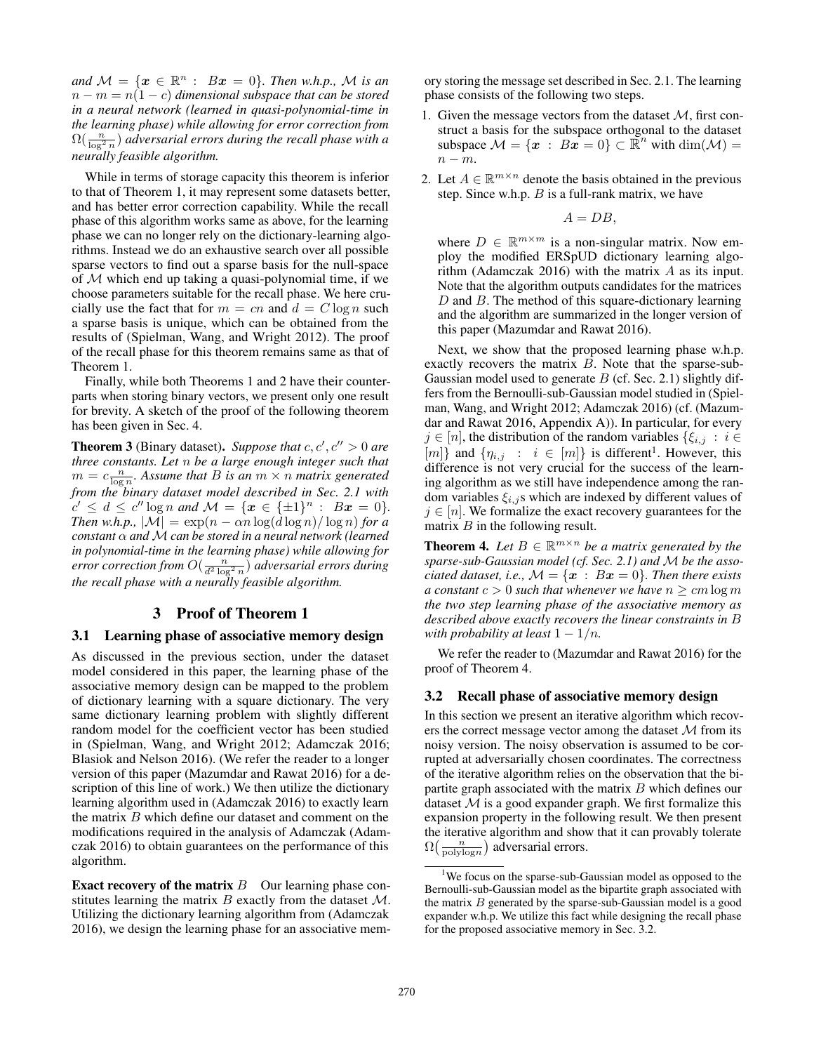*and*  $M = \{x \in \mathbb{R}^n : Bx = 0\}$ *. Then w.h.p.,* M *is an*  $n - m = n(1 - c)$  *dimensional subspace that can be stored in a neural network (learned in quasi-polynomial-time in the learning phase) while allowing for error correction from*  $\Omega(\frac{n}{\log^2 n})$  *adversarial errors during the recall phase with a* neurally feasible algorithm. *neurally feasible algorithm.*

While in terms of storage capacity this theorem is inferior to that of Theorem 1, it may represent some datasets better, and has better error correction capability. While the recall phase of this algorithm works same as above, for the learning phase we can no longer rely on the dictionary-learning algorithms. Instead we do an exhaustive search over all possible sparse vectors to find out a sparse basis for the null-space of  $M$  which end up taking a quasi-polynomial time, if we choose parameters suitable for the recall phase. We here crucially use the fact that for  $m = cn$  and  $d = C \log n$  such a sparse basis is unique, which can be obtained from the results of (Spielman, Wang, and Wright 2012). The proof of the recall phase for this theorem remains same as that of Theorem 1.

Finally, while both Theorems 1 and 2 have their counterparts when storing binary vectors, we present only one result for brevity. A sketch of the proof of the following theorem has been given in Sec. 4.

**Theorem 3** (Binary dataset). Suppose that  $c, c', c'' > 0$  are *three constants. Let* n *be a large enough integer such that*  $m = c \frac{n}{\log n}$ . Assume that B is an  $m \times n$  matrix generated from the binary dataset model described in Sec. 2.1 with *from the binary dataset model described in Sec. 2.1 with*  $c' \leq d \leq c'' \log n$  and  $\mathcal{M} = \{ \mathbf{x} \in \{\pm 1\}^n : B\mathbf{x} = 0 \}.$ *Then w.h.p.,*  $|\mathcal{M}| = \exp((n - \alpha n \log(d \log n) / \log n))$  *for a constant* α *and* M *can be stored in a neural network (learned in polynomial-time in the learning phase) while allowing for error correction from*  $O(\frac{n}{d^2 \log^2 n})$  *adversarial errors during*<br>the recall phase with a neurally fassible algorithm *the recall phase with a neurally feasible algorithm.*

#### 3 Proof of Theorem 1

#### 3.1 Learning phase of associative memory design

As discussed in the previous section, under the dataset model considered in this paper, the learning phase of the associative memory design can be mapped to the problem of dictionary learning with a square dictionary. The very same dictionary learning problem with slightly different random model for the coefficient vector has been studied in (Spielman, Wang, and Wright 2012; Adamczak 2016; Blasiok and Nelson 2016). (We refer the reader to a longer version of this paper (Mazumdar and Rawat 2016) for a description of this line of work.) We then utilize the dictionary learning algorithm used in (Adamczak 2016) to exactly learn the matrix B which define our dataset and comment on the modifications required in the analysis of Adamczak (Adamczak 2016) to obtain guarantees on the performance of this algorithm.

**Exact recovery of the matrix**  $B$  Our learning phase constitutes learning the matrix  $B$  exactly from the dataset  $M$ . Utilizing the dictionary learning algorithm from (Adamczak 2016), we design the learning phase for an associative memory storing the message set described in Sec. 2.1. The learning phase consists of the following two steps.

- 1. Given the message vectors from the dataset  $M$ , first construct a basis for the subspace orthogonal to the dataset subspace  $\mathcal{M} = \{x : Bx = 0\} \subset \mathbb{R}^n$  with dim $(\mathcal{M}) =$  $n - m$ .
- 2. Let  $A \in \mathbb{R}^{m \times n}$  denote the basis obtained in the previous step. Since w.h.p.  $B$  is a full-rank matrix, we have

$$
A=DB,
$$

where  $D \in \mathbb{R}^{m \times m}$  is a non-singular matrix. Now employ the modified ERSpUD dictionary learning algorithm (Adamczak 2016) with the matrix A as its input. Note that the algorithm outputs candidates for the matrices  $D$  and  $B$ . The method of this square-dictionary learning and the algorithm are summarized in the longer version of this paper (Mazumdar and Rawat 2016).

Next, we show that the proposed learning phase w.h.p. exactly recovers the matrix  $B$ . Note that the sparse-sub-Gaussian model used to generate  $B$  (cf. Sec. 2.1) slightly differs from the Bernoulli-sub-Gaussian model studied in (Spielman, Wang, and Wright 2012; Adamczak 2016) (cf. (Mazumdar and Rawat 2016, Appendix A)). In particular, for every  $j \in [n]$ , the distribution of the random variables  $\{\xi_{i,j} : i \in$ [m]} and  $\{\eta_{i,j} : i \in [m]\}$  is different<sup>1</sup>. However, this difference is not very crucial for the success of the learning algorithm as we still have independence among the random variables  $\xi_{i,j}$ s which are indexed by different values of  $j \in [n]$ . We formalize the exact recovery guarantees for the matrix  $B$  in the following result.

**Theorem 4.** Let  $B \in \mathbb{R}^{m \times n}$  be a matrix generated by the *sparse-sub-Gaussian model (cf. Sec. 2.1) and* M *be the associated dataset, i.e.,*  $\mathcal{M} = \{x : Bx = 0\}$ *. Then there exists a constant*  $c > 0$  *such that whenever we have*  $n \geq cm \log m$ *the two step learning phase of the associative memory as described above exactly recovers the linear constraints in* B *with probability at least*  $1 - 1/n$ *.* 

We refer the reader to (Mazumdar and Rawat 2016) for the proof of Theorem 4.

#### 3.2 Recall phase of associative memory design

In this section we present an iterative algorithm which recovers the correct message vector among the dataset  $M$  from its noisy version. The noisy observation is assumed to be corrupted at adversarially chosen coordinates. The correctness of the iterative algorithm relies on the observation that the bipartite graph associated with the matrix  $B$  which defines our dataset  $M$  is a good expander graph. We first formalize this expansion property in the following result. We then present the iterative algorithm and show that it can provably tolerate  $\Omega\left(\frac{n}{\text{polylog} n}\right)$ ) adversarial errors.

<sup>&</sup>lt;sup>1</sup>We focus on the sparse-sub-Gaussian model as opposed to the Bernoulli-sub-Gaussian model as the bipartite graph associated with the matrix  $B$  generated by the sparse-sub-Gaussian model is a good expander w.h.p. We utilize this fact while designing the recall phase for the proposed associative memory in Sec. 3.2.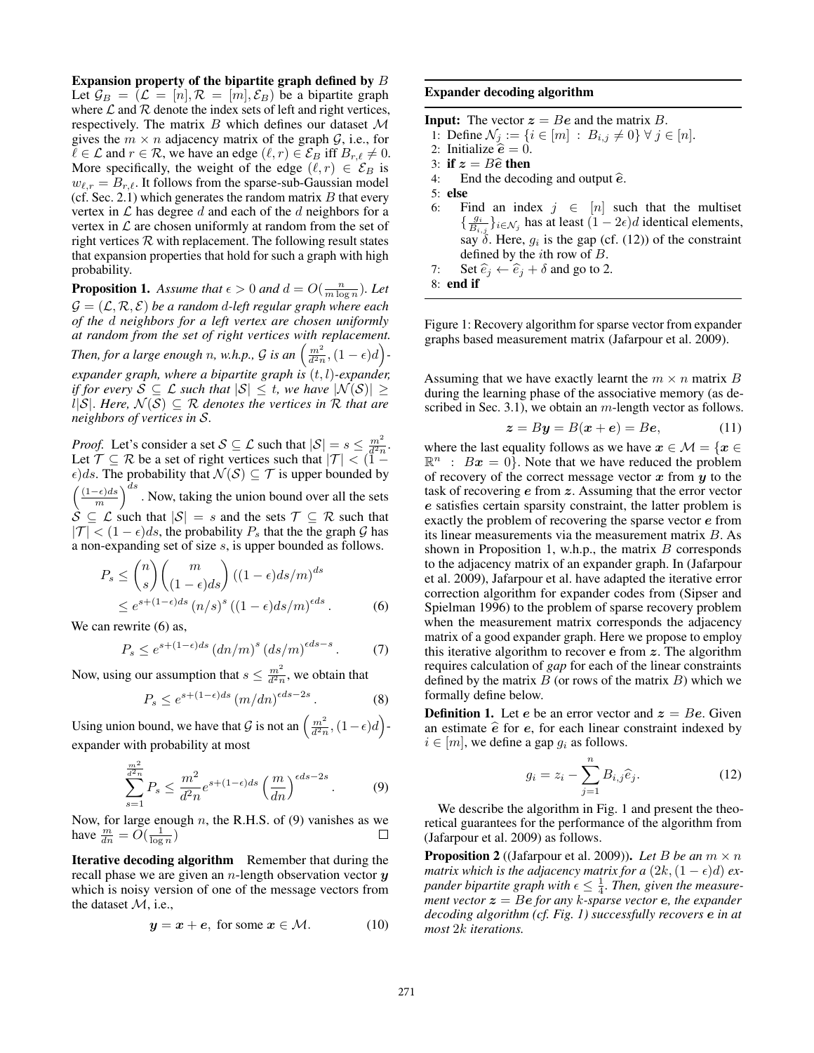Expansion property of the bipartite graph defined by B Let  $\mathcal{G}_B = (\mathcal{L} = [n], \mathcal{R} = [m], \mathcal{E}_B)$  be a bipartite graph where  $\mathcal L$  and  $\mathcal R$  denote the index sets of left and right vertices, respectively. The matrix  $B$  which defines our dataset  $M$ gives the  $m \times n$  adjacency matrix of the graph  $\mathcal{G}$ , i.e., for  $\ell \in \mathcal{L}$  and  $r \in \mathcal{R}$ , we have an edge  $(\ell, r) \in \mathcal{E}_B$  iff  $B_{r,\ell} \neq 0$ . More specifically, the weight of the edge  $(\ell, r) \in \mathcal{E}_B$  is  $w_{\ell,r} = B_{r,\ell}$ . It follows from the sparse-sub-Gaussian model (cf. Sec. 2.1) which generates the random matrix  $B$  that every vertex in  $\mathcal L$  has degree d and each of the d neighbors for a vertex in  $\mathcal L$  are chosen uniformly at random from the set of right vertices  $R$  with replacement. The following result states that expansion properties that hold for such a graph with high probability.

**Proposition 1.** Assume that  $\epsilon > 0$  and  $d = O(\frac{n}{m \log n})$ . Let  $C = (C \mathcal{P} S)$  be a random d left requier argue where each  $\mathcal{G} = (\mathcal{L}, \mathcal{R}, \mathcal{E})$  *be a random d-left regular graph where each of the* d *neighbors for a left vertex are chosen uniformly at random from the set of right vertices with replacement. Then, for a large enough n, w.h.p.,*  $G$  *is an*  $\left(\frac{m^2}{d^2n}, (1 - \epsilon)d\right)$ *expander graph, where a bipartite graph is* (t, l)*-expander, if for every*  $S \subseteq \mathcal{L}$  *such that*  $|S| \leq t$ *, we have*  $|\mathcal{N}(S)| \geq$  $l|S|$ *. Here,*  $N(S) ⊆ R$  *denotes the vertices in* R *that are neighbors of vertices in* S*.*

*Proof.* Let's consider a set  $S \subseteq \mathcal{L}$  such that  $|S| = s \leq \frac{m^2}{d^2n}$ . Let  $\mathcal{T} \subseteq \mathcal{R}$  be a set of right vertices such that  $|\mathcal{T}| < (\mathbf{1} - \mathbf{1})$  $\epsilon)$ ds. The probability that  $\mathcal{N}(\mathcal{S}) \subseteq \mathcal{T}$  is upper bounded by  $\left(\frac{(1-\epsilon)ds}{m}\right)$  $\int_{0}^{ds}$ . Now, taking the union bound over all the sets  $S \subseteq \mathcal{L}$  such that  $|S| = s$  and the sets  $\mathcal{T} \subseteq \mathcal{R}$  such that  $|\mathcal{T}| < (1 - \epsilon)ds$ , the probability  $P_s$  that the the graph G has a non-expanding set of size s, is upper bounded as follows.

$$
P_s \le {n \choose s} {m \choose (1-\epsilon)ds} ((1-\epsilon)ds/m)^{ds}
$$
  
 
$$
\leq e^{s+(1-\epsilon)ds} (n/s)^s ((1-\epsilon)ds/m)^{\epsilon ds}.
$$
 (6)

We can rewrite  $(6)$  as,

$$
P_s \le e^{s + (1 - \epsilon)ds} \left( d n/m \right)^s \left( ds/m \right)^{\epsilon ds - s} . \tag{7}
$$

Now, using our assumption that  $s \leq \frac{m^2}{d^2 n}$ , we obtain that

$$
P_s \le e^{s + (1 - \epsilon)ds} \left( m/dn \right)^{\epsilon ds - 2s}.
$$
 (8)

Using union bound, we have that  $\mathcal G$  is not an  $\left(\frac{m^2}{d^2n},(1-\epsilon)d\right)$ expander with probability at most

$$
\sum_{s=1}^{\frac{m^2}{d^2n}} P_s \le \frac{m^2}{d^2n} e^{s + (1-\epsilon)ds} \left(\frac{m}{dn}\right)^{\epsilon ds - 2s}.
$$
 (9)

Now, for large enough  $n$ , the R.H.S. of (9) vanishes as we have  $\frac{m}{dn} = \widetilde{O}(\frac{1}{\log n})$ 

Iterative decoding algorithm Remember that during the recall phase we are given an n-length observation vector *y* which is noisy version of one of the message vectors from the dataset M, i.e.,

$$
y = x + e, \text{ for some } x \in \mathcal{M}.
$$
 (10)

#### Expander decoding algorithm

**Input:** The vector  $z = Be$  and the matrix B. 1: Define  $\mathcal{N}_j := \{i \in [m] : B_{i,j} \neq 0\} \ \forall \ j \in [n].$ 2: Initialize  $\hat{e} = 0$ . 3: **if**  $z = B\hat{e}$  then<br>4: End the decoder End the decoding and output  $\hat{e}$ . 5: else 6: Find an index  $j \in [n]$  such that the multiset  $\{\frac{g_i}{B_{i,j}}\}_{i\in\mathcal{N}_j}$  has at least  $(1-2\epsilon)d$  identical elements, say  $\delta$ . Here,  $g_i$  is the gap (cf. (12)) of the constraint defined by the *i*th row of  $B$ . 7: Set  $\widehat{e}_j \leftarrow \widehat{e}_j + \delta$  and go to 2. 8: end if

Figure 1: Recovery algorithm for sparse vector from expander graphs based measurement matrix (Jafarpour et al. 2009).

Assuming that we have exactly learnt the  $m \times n$  matrix B during the learning phase of the associative memory (as described in Sec. 3.1), we obtain an  $m$ -length vector as follows.

$$
z = By = B(x + e) = Be,
$$
 (11)

where the last equality follows as we have  $x \in \mathcal{M} = \{x \in \mathcal{M}\}$  $\mathbb{R}^n$  :  $Bx = 0$ . Note that we have reduced the problem of recovery of the correct message vector *x* from *y* to the task of recovering *e* from *z*. Assuming that the error vector *e* satisfies certain sparsity constraint, the latter problem is exactly the problem of recovering the sparse vector *e* from its linear measurements via the measurement matrix B. As shown in Proposition 1, w.h.p., the matrix  $B$  corresponds to the adjacency matrix of an expander graph. In (Jafarpour et al. 2009), Jafarpour et al. have adapted the iterative error correction algorithm for expander codes from (Sipser and Spielman 1996) to the problem of sparse recovery problem when the measurement matrix corresponds the adjacency matrix of a good expander graph. Here we propose to employ this iterative algorithm to recover **e** from *z*. The algorithm requires calculation of *gap* for each of the linear constraints defined by the matrix  $B$  (or rows of the matrix  $B$ ) which we formally define below.

**Definition 1.** Let *e* be an error vector and  $z = Be$ . Given an estimate  $\hat{e}$  for  $e$ , for each linear constraint indexed by  $i \in [m]$ , we define a gap  $g_i$  as follows.

$$
g_i = z_i - \sum_{j=1}^n B_{i,j} \widehat{e}_j.
$$
 (12)

We describe the algorithm in Fig. 1 and present the theoretical guarantees for the performance of the algorithm from (Jafarpour et al. 2009) as follows.

**Proposition 2** ((Jafarpour et al. 2009)). Let B be an  $m \times n$ *matrix which is the adjacency matrix for a*  $(2k, (1 - \epsilon)d)$  *expander bipartite graph with*  $\epsilon \leq \frac{1}{4}$ . Then, given the measure-<br>ment vector  $z = Be$  for any k-sparse vector **e**, the expander *ment vector*  $z = Be$  *for any k*-*sparse vector e, the expander decoding algorithm (cf. Fig. 1) successfully recovers e in at most* 2k *iterations.*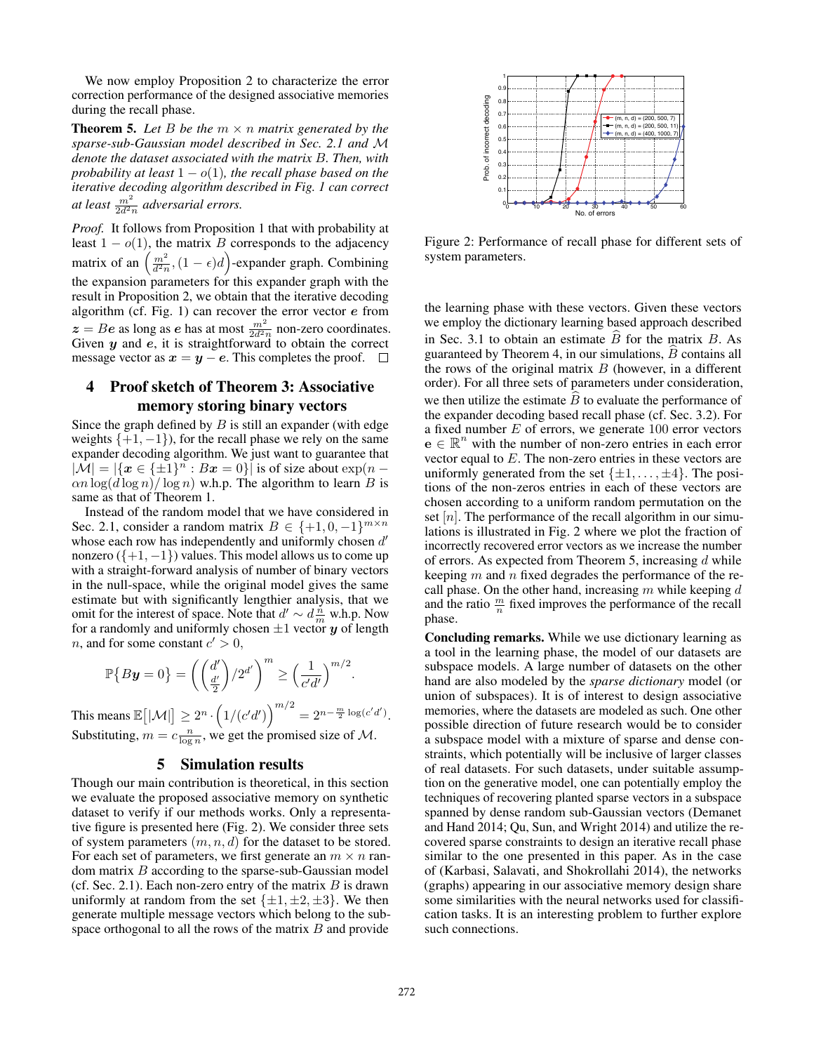We now employ Proposition 2 to characterize the error correction performance of the designed associative memories during the recall phase.

**Theorem 5.** Let B be the  $m \times n$  matrix generated by the *sparse-sub-Gaussian model described in Sec. 2.1 and* M *denote the dataset associated with the matrix* B*. Then, with probability at least*  $1 - o(1)$ *, the recall phase based on the iterative decoding algorithm described in Fig. 1 can correct at least*  $\frac{m^2}{2d^2n}$  *adversarial errors.* 

*Proof.* It follows from Proposition 1 that with probability at least  $1 - o(1)$ , the matrix B corresponds to the adjacency matrix of an  $\left(\frac{m^2}{d^2n},(1-\epsilon)d\right)$ -expander graph. Combining the expansion parameters for this expander graph with the result in Proposition 2, we obtain that the iterative decoding algorithm (cf. Fig. 1) can recover the error vector *e* from  $z = Be$  as long as *e* has at most  $\frac{m^2}{2d^2n}$  non-zero coordinates.<br>Given *u* and *e*, it is straightforward to obtain the correct Given *y* and *e*, it is straightforward to obtain the correct message vector as  $x = y - e$ . This completes the proof.  $□$ 

## 4 Proof sketch of Theorem 3: Associative memory storing binary vectors

Since the graph defined by  $B$  is still an expander (with edge weights  $\{+1, -1\}$ , for the recall phase we rely on the same expander decoding algorithm. We just want to guarantee that  $|\mathcal{M}| = |\{x \in {\{\pm 1\}}^n : Bx = 0\}|$  is of size about  $\exp(n \alpha n \log(d \log n) / \log n$ ) w.h.p. The algorithm to learn B is same as that of Theorem 1.

Instead of the random model that we have considered in Sec. 2.1, consider a random matrix  $B \in \{+1, 0, -1\}^{m \times n}$ whose each row has independently and uniformly chosen  $d'$ nonzero  $({+1, -1})$  values. This model allows us to come up with a straight-forward analysis of number of binary vectors in the null-space, while the original model gives the same estimate but with significantly lengthier analysis, that we omit for the interest of space. Note that  $d' \sim d\frac{n}{m}$  w.h.p. Now for a randomly and uniformly chosen  $\pm 1$  vector *y* of length *n*, and for some constant  $c' > 0$ ,

$$
\mathbb{P}\big\{B\mathbf{y}=0\big\}=\left(\binom{d'}{\frac{d'}{2}}/2^{d'}\right)^m\geq \left(\frac{1}{c'd'}\right)^{m/2}.
$$

This means  $\mathbb{E}\big[|\mathcal{M}|\big] \geq 2^n \cdot \big(1/(c'd')\big)^{m/2} = 2^{n - \frac{m}{2}\log(c'd')}.$ Substituting,  $m = c \frac{n}{\log n}$ , we get the promised size of M.

#### 5 Simulation results

Though our main contribution is theoretical, in this section we evaluate the proposed associative memory on synthetic dataset to verify if our methods works. Only a representative figure is presented here (Fig. 2). We consider three sets of system parameters  $(m, n, d)$  for the dataset to be stored. For each set of parameters, we first generate an  $m \times n$  random matrix  $B$  according to the sparse-sub-Gaussian model (cf. Sec. 2.1). Each non-zero entry of the matrix  $B$  is drawn uniformly at random from the set  $\{\pm 1, \pm 2, \pm 3\}$ . We then generate multiple message vectors which belong to the subspace orthogonal to all the rows of the matrix  $B$  and provide



Figure 2: Performance of recall phase for different sets of system parameters.

the learning phase with these vectors. Given these vectors we employ the dictionary learning based approach described in Sec. 3.1 to obtain an estimate  $\hat{B}$  for the matrix  $B$ . As guaranteed by Theorem 4, in our simulations,  $\overline{B}$  contains all the rows of the original matrix  $B$  (however, in a different order). For all three sets of parameters under consideration, we then utilize the estimate  $B$  to evaluate the performance of the expander decoding based recall phase (cf. Sec. 3.2). For a fixed number  $E$  of errors, we generate  $100$  error vectors  $\mathbf{e} \in \mathbb{R}^n$  with the number of non-zero entries in each error vector equal to E. The non-zero entries in these vectors are uniformly generated from the set  $\{\pm 1, \ldots, \pm 4\}$ . The positions of the non-zeros entries in each of these vectors are chosen according to a uniform random permutation on the set  $[n]$ . The performance of the recall algorithm in our simulations is illustrated in Fig. 2 where we plot the fraction of incorrectly recovered error vectors as we increase the number of errors. As expected from Theorem 5, increasing d while keeping  $m$  and  $n$  fixed degrades the performance of the recall phase. On the other hand, increasing  $m$  while keeping  $d$ and the ratio  $\frac{m}{n}$  fixed improves the performance of the recall phase.

Concluding remarks. While we use dictionary learning as a tool in the learning phase, the model of our datasets are subspace models. A large number of datasets on the other hand are also modeled by the *sparse dictionary* model (or union of subspaces). It is of interest to design associative memories, where the datasets are modeled as such. One other possible direction of future research would be to consider a subspace model with a mixture of sparse and dense constraints, which potentially will be inclusive of larger classes of real datasets. For such datasets, under suitable assumption on the generative model, one can potentially employ the techniques of recovering planted sparse vectors in a subspace spanned by dense random sub-Gaussian vectors (Demanet and Hand 2014; Qu, Sun, and Wright 2014) and utilize the recovered sparse constraints to design an iterative recall phase similar to the one presented in this paper. As in the case of (Karbasi, Salavati, and Shokrollahi 2014), the networks (graphs) appearing in our associative memory design share some similarities with the neural networks used for classification tasks. It is an interesting problem to further explore such connections.